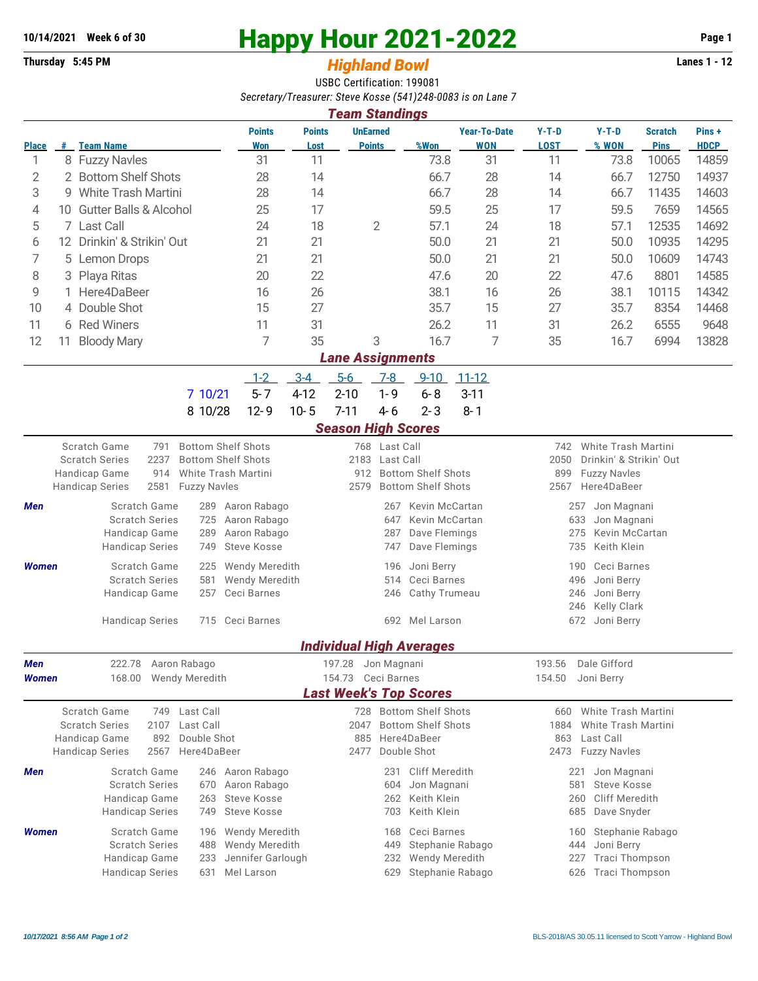## **10/14/2021** Week 6 of 30<br> **Happy Hour 2021-2022** Page 1<br> **Highland Rowl Lanes 1 - 12**<br>
Lanes 1 - 12

## **Thursday 5:45 PM** *Highland Bowl*

USBC Certification: 199081 *Secretary/Treasurer: Steve Kosse (541)248-0083 is on Lane 7*

| <b>Team Standings</b> |                                                       |                                                      |                                     |                                                  |                                          |                                  |                                  |                                 |                                            |                                                    |                                                    |                               |                      |  |  |  |
|-----------------------|-------------------------------------------------------|------------------------------------------------------|-------------------------------------|--------------------------------------------------|------------------------------------------|----------------------------------|----------------------------------|---------------------------------|--------------------------------------------|----------------------------------------------------|----------------------------------------------------|-------------------------------|----------------------|--|--|--|
| <b>Place</b>          |                                                       | # Team Name                                          |                                     | <b>Points</b><br>Won                             | <b>Points</b><br>Lost                    |                                  | <b>UnEarned</b><br><b>Points</b> | %Won                            | <b>Year-To-Date</b><br><b>WON</b>          | $Y-T-D$<br><b>LOST</b>                             | $Y-T-D$<br>% WON                                   | <b>Scratch</b><br><b>Pins</b> | Pins+<br><b>HDCP</b> |  |  |  |
| 1                     |                                                       | 8 Fuzzy Navles                                       |                                     | 31                                               | 11                                       |                                  |                                  | 73.8                            | 31                                         | 11                                                 | 73.8                                               | 10065                         | 14859                |  |  |  |
| 2                     |                                                       | 2 Bottom Shelf Shots                                 |                                     | 28                                               | 14                                       |                                  |                                  | 66.7                            | 28                                         | 14                                                 | 66.7                                               | 12750                         | 14937                |  |  |  |
| 3                     | 9.                                                    | <b>White Trash Martini</b>                           |                                     | 28                                               | 14                                       |                                  |                                  | 66.7                            | 28                                         | 14                                                 | 66.7                                               | 11435                         | 14603                |  |  |  |
| 4                     | <b>Gutter Balls &amp; Alcohol</b><br>10               |                                                      | 25                                  | 17                                               |                                          |                                  | 59.5                             | 25                              | 17                                         | 59.5                                               | 7659                                               | 14565                         |                      |  |  |  |
| 5                     |                                                       | 7 Last Call                                          |                                     | 24                                               | 18                                       |                                  | $\overline{2}$                   | 57.1                            | 24                                         | 18                                                 | 57.1                                               | 12535                         | 14692                |  |  |  |
| 6                     |                                                       | 12 Drinkin' & Strikin' Out                           |                                     | 21                                               | 21                                       |                                  |                                  | 50.0                            | 21                                         | 21                                                 | 50.0                                               | 10935                         | 14295                |  |  |  |
| 7                     | 5                                                     | Lemon Drops                                          |                                     | 21                                               | 21                                       |                                  |                                  | 50.0                            | 21                                         | 21                                                 | 50.0                                               | 10609                         | 14743                |  |  |  |
| 8                     | Playa Ritas<br>З                                      |                                                      |                                     | 20                                               | 22                                       |                                  |                                  | 47.6                            | 20                                         | 22                                                 | 47.6                                               | 8801                          | 14585                |  |  |  |
| 9                     | Here4DaBeer                                           |                                                      |                                     | 16                                               | 26                                       |                                  |                                  | 38.1                            | 16                                         | 26                                                 | 38.1                                               | 10115                         | 14342                |  |  |  |
| 10                    |                                                       | 4 Double Shot                                        |                                     | 15                                               | 27                                       |                                  |                                  | 35.7                            | 15                                         | 27                                                 | 35.7                                               | 8354                          | 14468                |  |  |  |
| 11                    |                                                       | 6 Red Winers                                         |                                     | 11                                               | 31                                       |                                  |                                  | 26.2                            | 11                                         | 31                                                 | 26.2                                               | 6555                          | 9648                 |  |  |  |
| 12                    | 11                                                    | <b>Bloody Mary</b>                                   |                                     | 7                                                | 35                                       |                                  | 3                                | 16.7                            | 7                                          | 35                                                 | 16.7                                               | 6994                          | 13828                |  |  |  |
|                       |                                                       |                                                      |                                     |                                                  |                                          | <b>Lane Assignments</b>          |                                  |                                 |                                            |                                                    |                                                    |                               |                      |  |  |  |
|                       |                                                       |                                                      |                                     | $1 - 2$                                          | $3-4$                                    | $5-6$                            | $7 - 8$                          | $9 - 10$                        | $11 - 12$                                  |                                                    |                                                    |                               |                      |  |  |  |
|                       |                                                       |                                                      | 7 10/21                             | $5 - 7$                                          | $4 - 12$                                 | $2 - 10$                         | $1 - 9$                          | $6 - 8$                         | $3 - 11$                                   |                                                    |                                                    |                               |                      |  |  |  |
|                       |                                                       |                                                      |                                     | $12 - 9$                                         | $10 - 5$                                 | $7 - 11$                         | $4 - 6$                          | $2 - 3$                         | $8 - 1$                                    |                                                    |                                                    |                               |                      |  |  |  |
|                       |                                                       |                                                      | 8 10/28                             |                                                  |                                          |                                  |                                  |                                 |                                            |                                                    |                                                    |                               |                      |  |  |  |
|                       |                                                       |                                                      |                                     |                                                  |                                          | <b>Season High Scores</b>        |                                  |                                 |                                            |                                                    |                                                    |                               |                      |  |  |  |
|                       |                                                       | Scratch Game<br>791<br>2237<br><b>Scratch Series</b> | <b>Bottom Shelf Shots</b>           | <b>Bottom Shelf Shots</b>                        |                                          | 2183                             | 768 Last Call<br>Last Call       |                                 |                                            | 2050                                               | 742 White Trash Martini<br>Drinkin' & Strikin' Out |                               |                      |  |  |  |
|                       |                                                       | Handicap Game<br>914                                 |                                     | White Trash Martini                              |                                          | <b>Bottom Shelf Shots</b><br>912 |                                  |                                 |                                            | 899<br><b>Fuzzy Navles</b>                         |                                                    |                               |                      |  |  |  |
|                       |                                                       | 2581<br><b>Handicap Series</b>                       | <b>Fuzzy Navles</b>                 |                                                  |                                          | 2579                             | <b>Bottom Shelf Shots</b>        |                                 |                                            | 2567<br>Here4DaBeer                                |                                                    |                               |                      |  |  |  |
| Men                   |                                                       | Scratch Game                                         | 289                                 | Aaron Rabago                                     | Kevin McCartan<br>267                    |                                  |                                  |                                 |                                            |                                                    | Jon Magnani<br>257                                 |                               |                      |  |  |  |
|                       |                                                       | <b>Scratch Series</b>                                | Aaron Rabago                        |                                                  | Kevin McCartan<br>647                    |                                  |                                  |                                 |                                            | 633<br>Jon Magnani                                 |                                                    |                               |                      |  |  |  |
|                       |                                                       | Handicap Game                                        | 289                                 | Aaron Rabago                                     |                                          |                                  | 287<br>Dave Flemings             |                                 |                                            |                                                    | Kevin McCartan<br>275                              |                               |                      |  |  |  |
|                       |                                                       | <b>Handicap Series</b>                               | <b>Steve Kosse</b>                  | Dave Flemings<br>747                             |                                          |                                  |                                  |                                 |                                            | Keith Klein<br>735                                 |                                                    |                               |                      |  |  |  |
| <b>Women</b>          |                                                       | Scratch Game                                         | Wendy Meredith                      | Joni Berry<br>196                                |                                          |                                  |                                  |                                 |                                            | Ceci Barnes<br>190                                 |                                                    |                               |                      |  |  |  |
|                       |                                                       | <b>Scratch Series</b>                                | Wendy Meredith                      |                                                  |                                          | Ceci Barnes<br>514               |                                  |                                 | 496<br>Joni Berry                          |                                                    |                                                    |                               |                      |  |  |  |
|                       |                                                       | Handicap Game                                        | 257                                 | Ceci Barnes                                      |                                          |                                  | Cathy Trumeau<br>246             |                                 |                                            | 246<br>Joni Berry<br>Kelly Clark                   |                                                    |                               |                      |  |  |  |
|                       |                                                       | <b>Handicap Series</b>                               | 715                                 | Ceci Barnes                                      |                                          |                                  | 692 Mel Larson                   |                                 |                                            | 246                                                |                                                    |                               |                      |  |  |  |
|                       |                                                       |                                                      |                                     |                                                  |                                          |                                  |                                  |                                 |                                            | Joni Berry<br>672                                  |                                                    |                               |                      |  |  |  |
|                       |                                                       |                                                      |                                     |                                                  |                                          |                                  |                                  | <b>Individual High Averages</b> |                                            |                                                    |                                                    |                               |                      |  |  |  |
| Men                   |                                                       | 222.78                                               | Aaron Rabago                        |                                                  |                                          | 197.28                           | Jon Magnanı                      |                                 |                                            | 193.56 Dale Gifford                                |                                                    |                               |                      |  |  |  |
| <b>Women</b>          |                                                       | 168.00                                               | <b>Wendy Meredith</b>               |                                                  |                                          | 154.73                           | Ceci Barnes                      |                                 |                                            | 154.50                                             | Joni Berry                                         |                               |                      |  |  |  |
|                       |                                                       |                                                      |                                     |                                                  |                                          |                                  |                                  | <b>Last Week's Top Scores</b>   |                                            |                                                    |                                                    |                               |                      |  |  |  |
|                       |                                                       | <b>Scratch Game</b><br>Last Call<br>749              |                                     |                                                  |                                          | 728 Bottom Shelf Shots           |                                  | White Trash Martini<br>660      |                                            |                                                    |                                                    |                               |                      |  |  |  |
|                       |                                                       | <b>Scratch Series</b><br>Last Call<br>2107           |                                     |                                                  | 2047                                     |                                  | <b>Bottom Shelf Shots</b>        |                                 | 1884<br>White Trash Martini                |                                                    |                                                    |                               |                      |  |  |  |
|                       |                                                       | Handicap Game<br>892                                 | Double Shot<br>Here4DaBeer          |                                                  | Here4DaBeer<br>885                       |                                  |                                  |                                 |                                            |                                                    | 863 Last Call                                      |                               |                      |  |  |  |
|                       |                                                       | <b>Handicap Series</b><br>2567                       |                                     | Double Shot<br>2477                              |                                          |                                  |                                  |                                 | 2473 Fuzzy Navles                          |                                                    |                                                    |                               |                      |  |  |  |
| Men                   |                                                       | Scratch Game<br>246<br>670                           |                                     |                                                  | Aaron Rabago<br>231<br>Cliff Meredith    |                                  |                                  |                                 |                                            |                                                    | 221<br>Jon Magnani                                 |                               |                      |  |  |  |
|                       |                                                       | Scratch Series                                       | Aaron Rabago                        | Jon Magnani<br>604                               |                                          |                                  |                                  |                                 | 581<br>Steve Kosse                         |                                                    |                                                    |                               |                      |  |  |  |
|                       | Handicap Game<br>263<br><b>Handicap Series</b><br>749 |                                                      |                                     | Steve Kosse<br><b>Steve Kosse</b>                | Keith Klein<br>262<br>Keith Klein<br>703 |                                  |                                  |                                 |                                            | <b>Cliff Meredith</b><br>260<br>Dave Snyder<br>685 |                                                    |                               |                      |  |  |  |
|                       |                                                       |                                                      | 196                                 |                                                  |                                          |                                  |                                  |                                 |                                            |                                                    |                                                    |                               |                      |  |  |  |
| <b>Women</b>          |                                                       | Scratch Game                                         | <b>Wendy Meredith</b>               | Ceci Barnes<br>168                               |                                          |                                  |                                  |                                 | Stephanie Rabago<br>160                    |                                                    |                                                    |                               |                      |  |  |  |
|                       |                                                       | <b>Scratch Series</b><br>Handicap Game               | Wendy Meredith<br>Jennifer Garlough | Stephanie Rabago<br>449<br>Wendy Meredith<br>232 |                                          |                                  |                                  |                                 | Joni Berry<br>444<br>Traci Thompson<br>227 |                                                    |                                                    |                               |                      |  |  |  |
|                       |                                                       | <b>Handicap Series</b>                               | Mel Larson                          | Stephanie Rabago<br>629                          |                                          |                                  |                                  |                                 |                                            | Traci Thompson<br>626                              |                                                    |                               |                      |  |  |  |
|                       |                                                       |                                                      | 631                                 |                                                  |                                          |                                  |                                  |                                 |                                            |                                                    |                                                    |                               |                      |  |  |  |